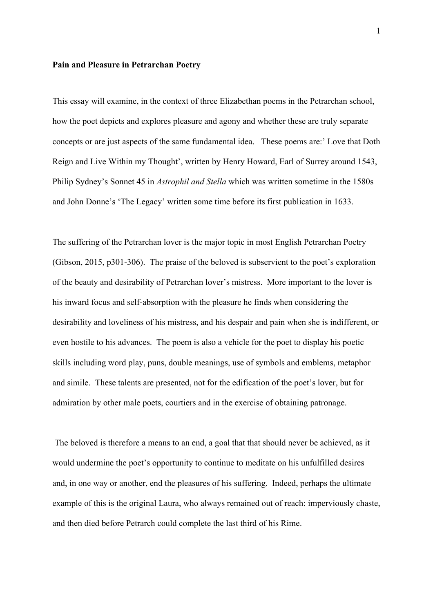## **Pain and Pleasure in Petrarchan Poetry**

This essay will examine, in the context of three Elizabethan poems in the Petrarchan school, how the poet depicts and explores pleasure and agony and whether these are truly separate concepts or are just aspects of the same fundamental idea. These poems are:' Love that Doth Reign and Live Within my Thought', written by Henry Howard, Earl of Surrey around 1543, Philip Sydney's Sonnet 45 in *Astrophil and Stella* which was written sometime in the 1580s and John Donne's 'The Legacy' written some time before its first publication in 1633.

The suffering of the Petrarchan lover is the major topic in most English Petrarchan Poetry (Gibson, 2015, p301-306). The praise of the beloved is subservient to the poet's exploration of the beauty and desirability of Petrarchan lover's mistress. More important to the lover is his inward focus and self-absorption with the pleasure he finds when considering the desirability and loveliness of his mistress, and his despair and pain when she is indifferent, or even hostile to his advances. The poem is also a vehicle for the poet to display his poetic skills including word play, puns, double meanings, use of symbols and emblems, metaphor and simile. These talents are presented, not for the edification of the poet's lover, but for admiration by other male poets, courtiers and in the exercise of obtaining patronage.

The beloved is therefore a means to an end, a goal that that should never be achieved, as it would undermine the poet's opportunity to continue to meditate on his unfulfilled desires and, in one way or another, end the pleasures of his suffering. Indeed, perhaps the ultimate example of this is the original Laura, who always remained out of reach: imperviously chaste, and then died before Petrarch could complete the last third of his Rime.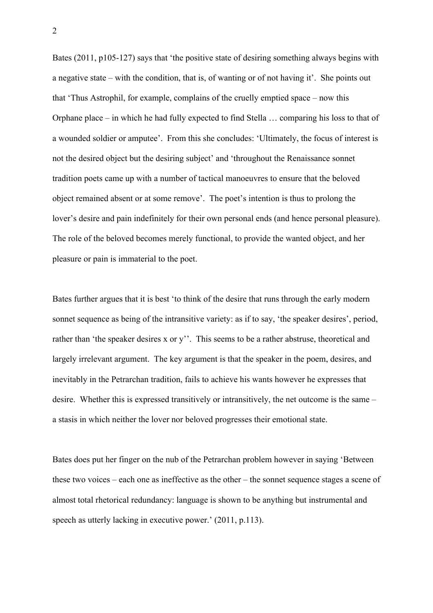Bates (2011, p105-127) says that 'the positive state of desiring something always begins with a negative state – with the condition, that is, of wanting or of not having it'. She points out that 'Thus Astrophil, for example, complains of the cruelly emptied space – now this Orphane place – in which he had fully expected to find Stella … comparing his loss to that of a wounded soldier or amputee'. From this she concludes: 'Ultimately, the focus of interest is not the desired object but the desiring subject' and 'throughout the Renaissance sonnet tradition poets came up with a number of tactical manoeuvres to ensure that the beloved object remained absent or at some remove'. The poet's intention is thus to prolong the lover's desire and pain indefinitely for their own personal ends (and hence personal pleasure). The role of the beloved becomes merely functional, to provide the wanted object, and her pleasure or pain is immaterial to the poet.

Bates further argues that it is best 'to think of the desire that runs through the early modern sonnet sequence as being of the intransitive variety: as if to say, 'the speaker desires', period, rather than 'the speaker desires x or y''. This seems to be a rather abstruse, theoretical and largely irrelevant argument. The key argument is that the speaker in the poem, desires, and inevitably in the Petrarchan tradition, fails to achieve his wants however he expresses that desire. Whether this is expressed transitively or intransitively, the net outcome is the same – a stasis in which neither the lover nor beloved progresses their emotional state.

Bates does put her finger on the nub of the Petrarchan problem however in saying 'Between these two voices – each one as ineffective as the other – the sonnet sequence stages a scene of almost total rhetorical redundancy: language is shown to be anything but instrumental and speech as utterly lacking in executive power.' (2011, p.113).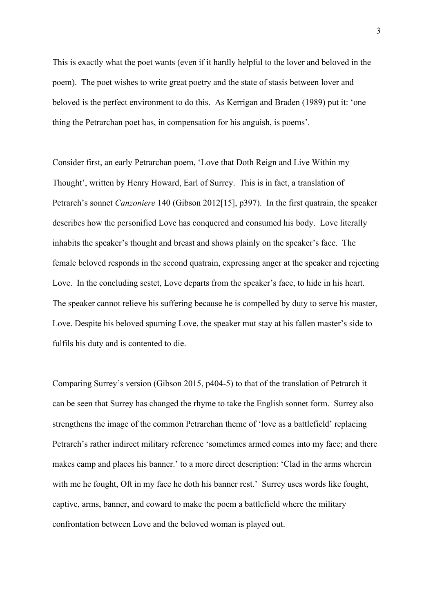This is exactly what the poet wants (even if it hardly helpful to the lover and beloved in the poem). The poet wishes to write great poetry and the state of stasis between lover and beloved is the perfect environment to do this. As Kerrigan and Braden (1989) put it: 'one thing the Petrarchan poet has, in compensation for his anguish, is poems'.

Consider first, an early Petrarchan poem, 'Love that Doth Reign and Live Within my Thought', written by Henry Howard, Earl of Surrey. This is in fact, a translation of Petrarch's sonnet *Canzoniere* 140 (Gibson 2012[15], p397). In the first quatrain, the speaker describes how the personified Love has conquered and consumed his body. Love literally inhabits the speaker's thought and breast and shows plainly on the speaker's face. The female beloved responds in the second quatrain, expressing anger at the speaker and rejecting Love. In the concluding sestet, Love departs from the speaker's face, to hide in his heart. The speaker cannot relieve his suffering because he is compelled by duty to serve his master, Love. Despite his beloved spurning Love, the speaker mut stay at his fallen master's side to fulfils his duty and is contented to die.

Comparing Surrey's version (Gibson 2015, p404-5) to that of the translation of Petrarch it can be seen that Surrey has changed the rhyme to take the English sonnet form. Surrey also strengthens the image of the common Petrarchan theme of 'love as a battlefield' replacing Petrarch's rather indirect military reference 'sometimes armed comes into my face; and there makes camp and places his banner.' to a more direct description: 'Clad in the arms wherein with me he fought, Oft in my face he doth his banner rest.' Surrey uses words like fought, captive, arms, banner, and coward to make the poem a battlefield where the military confrontation between Love and the beloved woman is played out.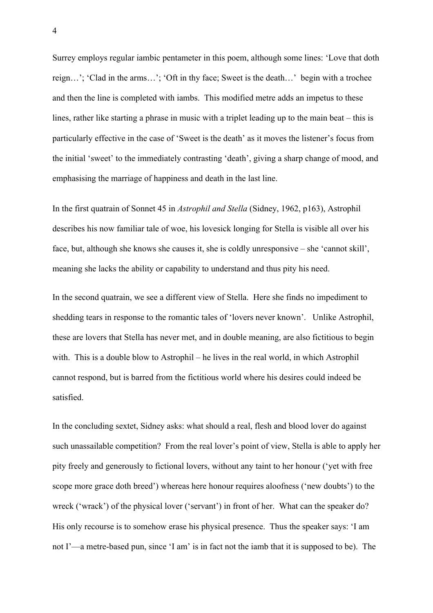Surrey employs regular iambic pentameter in this poem, although some lines: 'Love that doth reign…'; 'Clad in the arms…'; 'Oft in thy face; Sweet is the death…' begin with a trochee and then the line is completed with iambs. This modified metre adds an impetus to these lines, rather like starting a phrase in music with a triplet leading up to the main beat – this is particularly effective in the case of 'Sweet is the death' as it moves the listener's focus from the initial 'sweet' to the immediately contrasting 'death', giving a sharp change of mood, and emphasising the marriage of happiness and death in the last line.

In the first quatrain of Sonnet 45 in *Astrophil and Stella* (Sidney, 1962, p163), Astrophil describes his now familiar tale of woe, his lovesick longing for Stella is visible all over his face, but, although she knows she causes it, she is coldly unresponsive – she 'cannot skill', meaning she lacks the ability or capability to understand and thus pity his need.

In the second quatrain, we see a different view of Stella. Here she finds no impediment to shedding tears in response to the romantic tales of 'lovers never known'. Unlike Astrophil, these are lovers that Stella has never met, and in double meaning, are also fictitious to begin with. This is a double blow to Astrophil – he lives in the real world, in which Astrophil cannot respond, but is barred from the fictitious world where his desires could indeed be satisfied.

In the concluding sextet, Sidney asks: what should a real, flesh and blood lover do against such unassailable competition? From the real lover's point of view, Stella is able to apply her pity freely and generously to fictional lovers, without any taint to her honour ('yet with free scope more grace doth breed') whereas here honour requires aloofness ('new doubts') to the wreck ('wrack') of the physical lover ('servant') in front of her. What can the speaker do? His only recourse is to somehow erase his physical presence. Thus the speaker says: 'I am not I'—a metre-based pun, since 'I am' is in fact not the iamb that it is supposed to be). The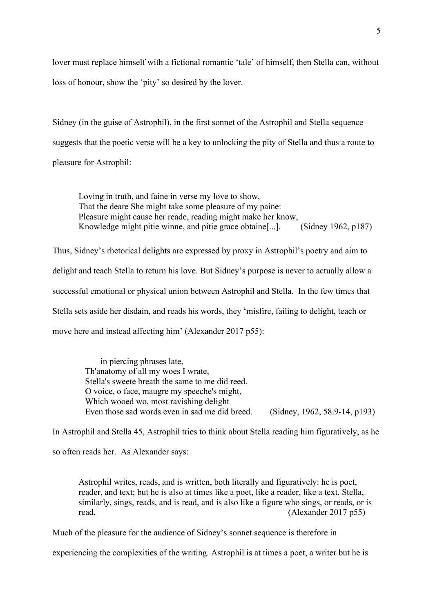lover must replace himself with a fictional romantic 'tale' of himself, then Stella can, without loss of honour, show the 'pity' so desired by the lover.

Sidney (in the guise of Astrophil), in the first sonnet of the Astrophil and Stella sequence suggests that the poetic verse will be a key to unlocking the pity of Stella and thus a route to pleasure for Astrophil:

Loving in truth, and faine in verse my love to show, That the deare She might take some pleasure of my paine: Pleasure might cause her reade, reading might make her know, Knowledge might pitie winne, and pitie grace obtaine[...]. (Sidney 1962, p187)

Thus, Sidney's rhetorical delights are expressed by proxy in Astrophil's poetry and aim to delight and teach Stella to return his love. But Sidney's purpose is never to actually allow a successful emotional or physical union between Astrophil and Stella. In the few times that Stella sets aside her disdain, and reads his words, they 'misfire, failing to delight, teach or move here and instead affecting him' (Alexander 2017 p55):

> in piercing phrases late, Th'anatomy of all my woes I wrate, Stella's sweete breath the same to me did reed. O voice, o face, maugre my speeche's might, Which wooed wo, most ravishing delight Even those sad words even in sad me did breed. (Sidney, 1962, 58.9-14, p193)

In Astrophil and Stella 45, Astrophil tries to think about Stella reading him figuratively, as he so often reads her. As Alexander says:

Astrophil writes, reads, and is written, both literally and figuratively: he is poet, reader, and text; but he is also at times like a poet, like a reader, like a text. Stella, similarly, sings, reads, and is read, and is also like a figure who sings, or reads, or is read. (Alexander 2017 p55)

Much of the pleasure for the audience of Sidney's sonnet sequence is therefore in

experiencing the complexities of the writing. Astrophil is at times a poet, a writer but he is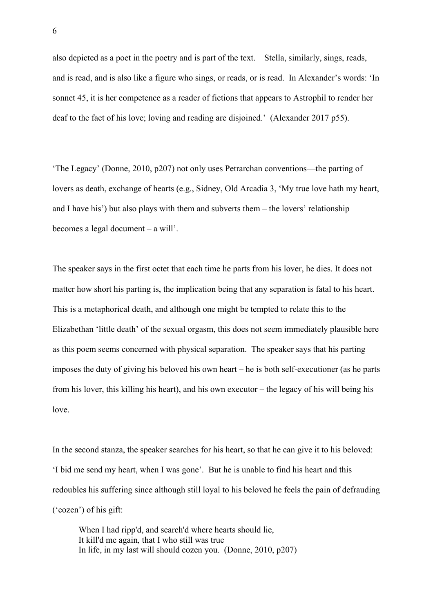also depicted as a poet in the poetry and is part of the text. Stella, similarly, sings, reads, and is read, and is also like a figure who sings, or reads, or is read. In Alexander's words: 'In sonnet 45, it is her competence as a reader of fictions that appears to Astrophil to render her deaf to the fact of his love; loving and reading are disjoined.' (Alexander 2017 p55).

'The Legacy' (Donne, 2010, p207) not only uses Petrarchan conventions—the parting of lovers as death, exchange of hearts (e.g., Sidney, Old Arcadia 3, 'My true love hath my heart, and I have his') but also plays with them and subverts them – the lovers' relationship becomes a legal document – a will'.

The speaker says in the first octet that each time he parts from his lover, he dies. It does not matter how short his parting is, the implication being that any separation is fatal to his heart. This is a metaphorical death, and although one might be tempted to relate this to the Elizabethan 'little death' of the sexual orgasm, this does not seem immediately plausible here as this poem seems concerned with physical separation. The speaker says that his parting imposes the duty of giving his beloved his own heart – he is both self-executioner (as he parts from his lover, this killing his heart), and his own executor – the legacy of his will being his love.

In the second stanza, the speaker searches for his heart, so that he can give it to his beloved: 'I bid me send my heart, when I was gone'. But he is unable to find his heart and this redoubles his suffering since although still loyal to his beloved he feels the pain of defrauding ('cozen') of his gift:

When I had ripp'd, and search'd where hearts should lie, It kill'd me again, that I who still was true In life, in my last will should cozen you. (Donne, 2010, p207)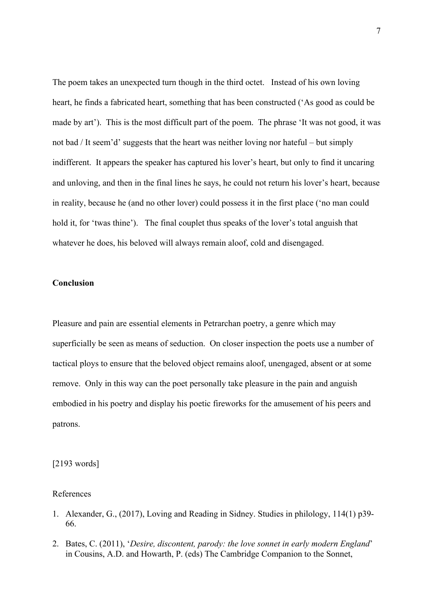The poem takes an unexpected turn though in the third octet. Instead of his own loving heart, he finds a fabricated heart, something that has been constructed ('As good as could be made by art'). This is the most difficult part of the poem. The phrase 'It was not good, it was not bad / It seem'd' suggests that the heart was neither loving nor hateful – but simply indifferent. It appears the speaker has captured his lover's heart, but only to find it uncaring and unloving, and then in the final lines he says, he could not return his lover's heart, because in reality, because he (and no other lover) could possess it in the first place ('no man could hold it, for 'twas thine'). The final couplet thus speaks of the lover's total anguish that whatever he does, his beloved will always remain aloof, cold and disengaged.

## **Conclusion**

Pleasure and pain are essential elements in Petrarchan poetry, a genre which may superficially be seen as means of seduction. On closer inspection the poets use a number of tactical ploys to ensure that the beloved object remains aloof, unengaged, absent or at some remove. Only in this way can the poet personally take pleasure in the pain and anguish embodied in his poetry and display his poetic fireworks for the amusement of his peers and patrons.

## [2193 words]

## References

- 1. Alexander, G., (2017), Loving and Reading in Sidney. Studies in philology, 114(1) p39- 66.
- 2. Bates, C. (2011), '*Desire, discontent, parody: the love sonnet in early modern England*' in Cousins, A.D. and Howarth, P. (eds) The Cambridge Companion to the Sonnet,